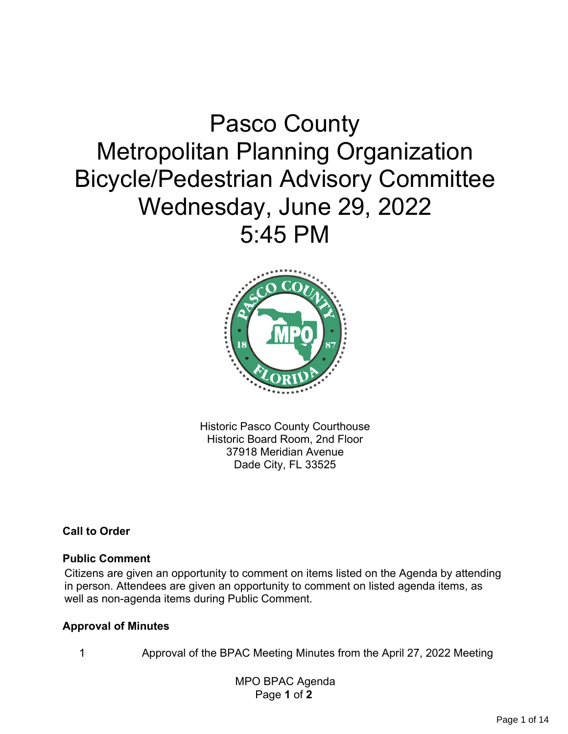# Pasco County Metropolitan Planning Organization Bicycle/Pedestrian Advisory Committee Wednesday, June 29, 2022 5:45 PM



Historic Pasco County Courthouse Historic Board Room, 2nd Floor 37918 Meridian Avenue Dade City, FL 33525

**Call to Order**

#### **Public Comment**

Citizens are given an opportunity to comment on items listed on the Agenda by attending in person. Attendees are given an opportunity to comment on listed agenda items, as well as non-agenda items during Public Comment.

#### **Approval of Minutes**

1 Approval of the BPAC Meeting Minutes from the April 27, 2022 Meeting

 MPO BPAC Agenda Page **1** of **2**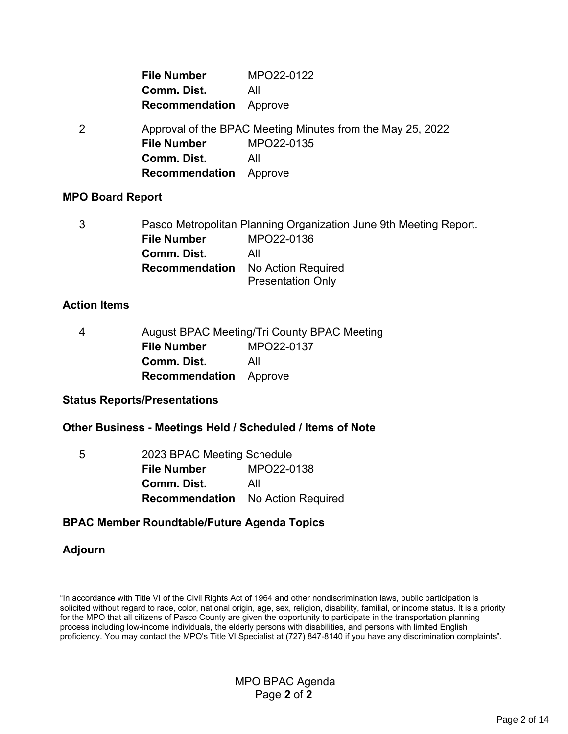| <b>File Number</b>            | MPO22-0122 |  |  |  |  |
|-------------------------------|------------|--|--|--|--|
| Comm. Dist.                   | All        |  |  |  |  |
| <b>Recommendation</b> Approve |            |  |  |  |  |

2 Approval of the BPAC Meeting Minutes from the May 25, 2022 **File Number** MPO22-0135 **Comm. Dist.** All **Recommendation** Approve

#### **MPO Board Report**

3 Pasco Metropolitan Planning Organization June 9th Meeting Report. **File Number** MPO22-0136 **Comm. Dist.** All **Recommendation** No Action Required Presentation Only

#### **Action Items**

| 4 | <b>August BPAC Meeting/Tri County BPAC Meeting</b> |            |  |  |  |  |  |
|---|----------------------------------------------------|------------|--|--|--|--|--|
|   | <b>File Number</b>                                 | MPO22-0137 |  |  |  |  |  |
|   | Comm. Dist.                                        | All        |  |  |  |  |  |
|   | <b>Recommendation</b> Approve                      |            |  |  |  |  |  |

#### **Status Reports/Presentations**

#### **Other Business - Meetings Held / Scheduled / Items of Note**

| 5 | 2023 BPAC Meeting Schedule |                                          |  |  |  |  |  |  |
|---|----------------------------|------------------------------------------|--|--|--|--|--|--|
|   | <b>File Number</b>         | MPO22-0138                               |  |  |  |  |  |  |
|   | Comm. Dist.                | All                                      |  |  |  |  |  |  |
|   |                            | <b>Recommendation</b> No Action Required |  |  |  |  |  |  |

#### **BPAC Member Roundtable/Future Agenda Topics**

#### **Adjourn**

"In accordance with Title VI of the Civil Rights Act of 1964 and other nondiscrimination laws, public participation is solicited without regard to race, color, national origin, age, sex, religion, disability, familial, or income status. It is a priority for the MPO that all citizens of Pasco County are given the opportunity to participate in the transportation planning process including low-income individuals, the elderly persons with disabilities, and persons with limited English proficiency. You may contact the MPO's Title VI Specialist at (727) 847-8140 if you have any discrimination complaints".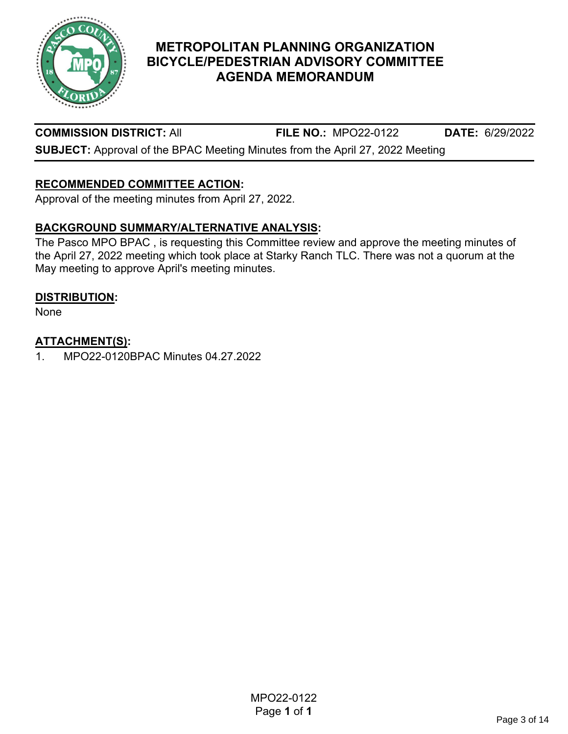

**COMMISSION DISTRICT:** All **FILE NO.:** MPO22-0122 **DATE:** 6/29/2022

**SUBJECT:** Approval of the BPAC Meeting Minutes from the April 27, 2022 Meeting

## **RECOMMENDED COMMITTEE ACTION:**

Approval of the meeting minutes from April 27, 2022.

## **BACKGROUND SUMMARY/ALTERNATIVE ANALYSIS:**

The Pasco MPO BPAC , is requesting this Committee review and approve the meeting minutes of the April 27, 2022 meeting which took place at Starky Ranch TLC. There was not a quorum at the May meeting to approve April's meeting minutes.

#### **DISTRIBUTION:**

None

#### **ATTACHMENT(S):**

1. MPO22-0120BPAC Minutes 04.27.2022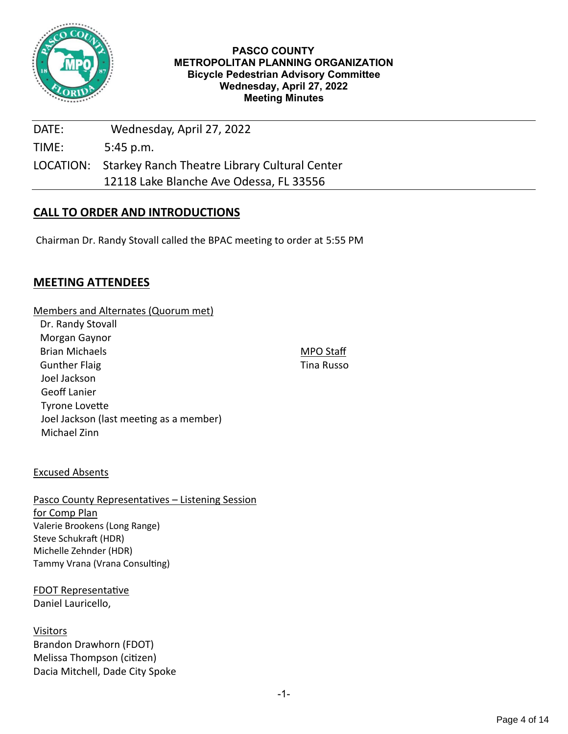

#### **PASCO COUNTY METROPOLITAN PLANNING ORGANIZATION Bicycle Pedestrian Advisory Committee Wednesday, April 27, 2022 Meeting Minutes**

MPO Staff Tina Russo

| DATE: | Wednesday, April 27, 2022                               |
|-------|---------------------------------------------------------|
| TIME: | $5:45$ p.m.                                             |
|       | LOCATION: Starkey Ranch Theatre Library Cultural Center |
|       | 12118 Lake Blanche Ave Odessa, FL 33556                 |

#### **CALL TO ORDER AND INTRODUCTIONS**

Chairman Dr. Randy Stovall called the BPAC meeting to order at 5:55 PM

#### **MEETING ATTENDEES**

#### Members and Alternates (Quorum met)

| Dr. Randy Stovall                       |
|-----------------------------------------|
| Morgan Gaynor                           |
| <b>Brian Michaels</b>                   |
| <b>Gunther Flaig</b>                    |
| Joel Jackson                            |
| Geoff Lanier                            |
| <b>Tyrone Lovette</b>                   |
| Joel Jackson (last meeting as a member) |
| Michael Zinn                            |

#### Excused Absents

#### Pasco County Representatives – Listening Session for Comp Plan Valerie Brookens (Long Range) Steve Schukraft (HDR) Michelle Zehnder (HDR) Tammy Vrana (Vrana Consulting)

FDOT Representative Daniel Lauricello,

**Visitors** Brandon Drawhorn (FDOT) Melissa Thompson (citizen) Dacia Mitchell, Dade City Spoke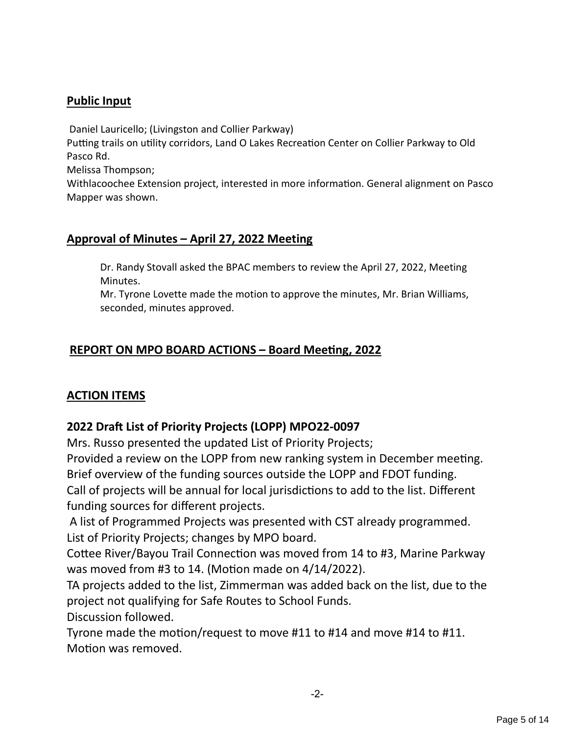# **Public Input**

Daniel Lauricello; (Livingston and Collier Parkway)

Putting trails on utility corridors, Land O Lakes Recreation Center on Collier Parkway to Old Pasco Rd.

Melissa Thompson;

Withlacoochee Extension project, interested in more information. General alignment on Pasco Mapper was shown.

# **Approval of Minutes – April 27, 2022 Meeting**

Dr. Randy Stovall asked the BPAC members to review the April 27, 2022, Meeting Minutes.

Mr. Tyrone Lovette made the motion to approve the minutes, Mr. Brian Williams, seconded, minutes approved.

# **REPORT ON MPO BOARD ACTIONS – Board Meeting, 2022**

# **ACTION ITEMS**

# **2022 Draft List of Priority Projects (LOPP) MPO22-0097**

Mrs. Russo presented the updated List of Priority Projects;

Provided a review on the LOPP from new ranking system in December meeting. Brief overview of the funding sources outside the LOPP and FDOT funding. Call of projects will be annual for local jurisdictions to add to the list. Different funding sources for different projects.

A list of Programmed Projects was presented with CST already programmed. List of Priority Projects; changes by MPO board.

Cottee River/Bayou Trail Connection was moved from 14 to #3, Marine Parkway was moved from #3 to 14. (Motion made on 4/14/2022).

TA projects added to the list, Zimmerman was added back on the list, due to the project not qualifying for Safe Routes to School Funds.

Discussion followed.

Tyrone made the motion/request to move #11 to #14 and move #14 to #11. Motion was removed.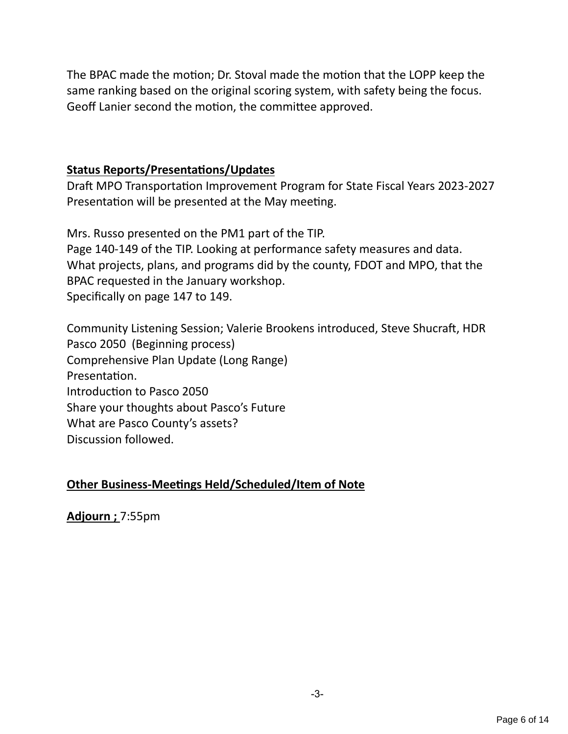The BPAC made the motion; Dr. Stoval made the motion that the LOPP keep the same ranking based on the original scoring system, with safety being the focus. Geoff Lanier second the motion, the committee approved.

## **Status Reports/Presentations/Updates**

Draft MPO Transportation Improvement Program for State Fiscal Years 2023-2027 Presentation will be presented at the May meeting.

Mrs. Russo presented on the PM1 part of the TIP. Page 140-149 of the TIP. Looking at performance safety measures and data. What projects, plans, and programs did by the county, FDOT and MPO, that the BPAC requested in the January workshop. Specifically on page 147 to 149.

Community Listening Session; Valerie Brookens introduced, Steve Shucraft, HDR Pasco 2050 (Beginning process) Comprehensive Plan Update (Long Range) Presentation. Introduction to Pasco 2050 Share your thoughts about Pasco's Future What are Pasco County's assets? Discussion followed.

## **Other Business-Meetings Held/Scheduled/Item of Note**

**Adjourn ;** 7:55pm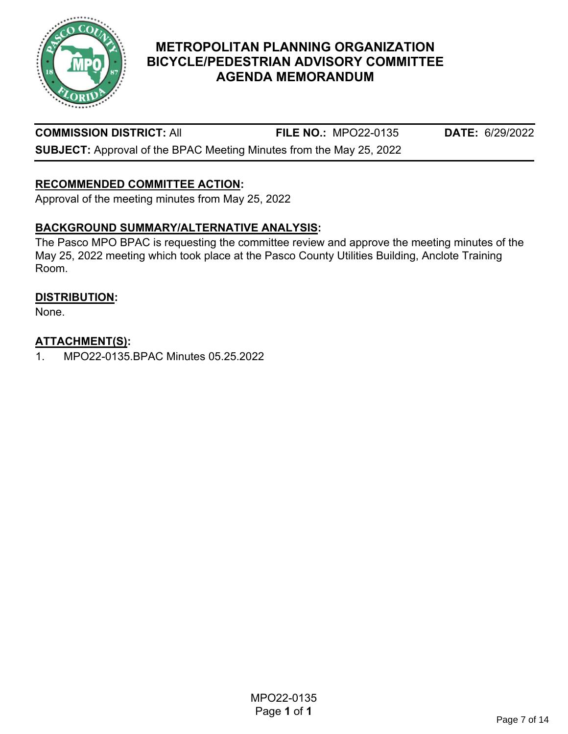

**COMMISSION DISTRICT:** All **FILE NO.:** MPO22-0135 **DATE:** 6/29/2022

**SUBJECT:** Approval of the BPAC Meeting Minutes from the May 25, 2022

# **RECOMMENDED COMMITTEE ACTION:**

Approval of the meeting minutes from May 25, 2022

## **BACKGROUND SUMMARY/ALTERNATIVE ANALYSIS:**

The Pasco MPO BPAC is requesting the committee review and approve the meeting minutes of the May 25, 2022 meeting which took place at the Pasco County Utilities Building, Anclote Training Room.

#### **DISTRIBUTION:**

None.

#### **ATTACHMENT(S):**

1. MPO22-0135.BPAC Minutes 05.25.2022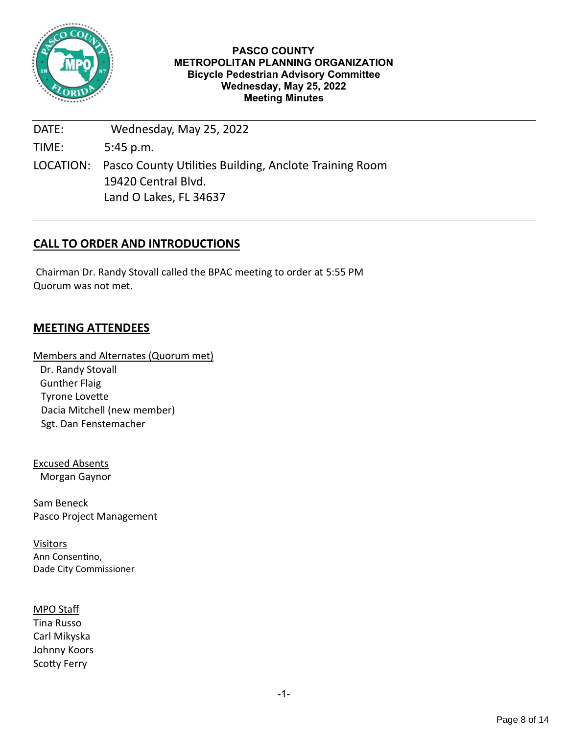

#### **PASCO COUNTY METROPOLITAN PLANNING ORGANIZATION Bicycle Pedestrian Advisory Committee Wednesday, May 25, 2022 Meeting Minutes**

DATE: Wednesday, May 25, 2022 TIME: 5:45 p.m. LOCATION: Pasco County Utilities Building, Anclote Training Room 19420 Central Blvd. Land O Lakes, FL 34637

#### **CALL TO ORDER AND INTRODUCTIONS**

Chairman Dr. Randy Stovall called the BPAC meeting to order at 5:55 PM Quorum was not met.

#### **MEETING ATTENDEES**

Members and Alternates (Quorum met) Dr. Randy Stovall Gunther Flaig Tyrone Lovette Dacia Mitchell (new member) Sgt. Dan Fenstemacher

Excused Absents Morgan Gaynor

Sam Beneck Pasco Project Management

Visitors Ann Consentino, Dade City Commissioner

MPO Staff Tina Russo Carl Mikyska Johnny Koors Scotty Ferry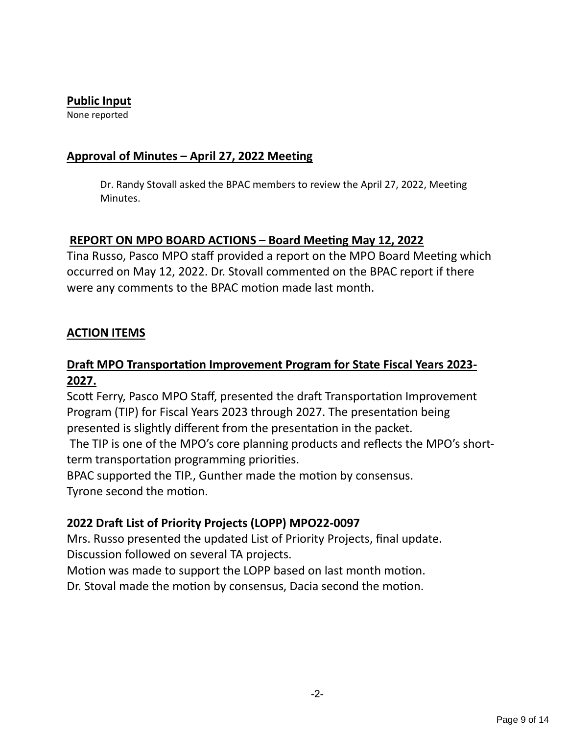#### **Public Input**

None reported

#### **Approval of Minutes – April 27, 2022 Meeting**

Dr. Randy Stovall asked the BPAC members to review the April 27, 2022, Meeting Minutes.

## **REPORT ON MPO BOARD ACTIONS – Board Meeting May 12, 2022**

Tina Russo, Pasco MPO staff provided a report on the MPO Board Meeting which occurred on May 12, 2022. Dr. Stovall commented on the BPAC report if there were any comments to the BPAC motion made last month.

## **ACTION ITEMS**

# **Draft MPO Transportation Improvement Program for State Fiscal Years 2023- 2027.**

Scott Ferry, Pasco MPO Staff, presented the draft Transportation Improvement Program (TIP) for Fiscal Years 2023 through 2027. The presentation being presented is slightly different from the presentation in the packet.

The TIP is one of the MPO's core planning products and reflects the MPO's shortterm transportation programming priorities.

BPAC supported the TIP., Gunther made the motion by consensus. Tyrone second the motion.

## **2022 Draft List of Priority Projects (LOPP) MPO22-0097**

Mrs. Russo presented the updated List of Priority Projects, final update. Discussion followed on several TA projects.

Motion was made to support the LOPP based on last month motion.

Dr. Stoval made the motion by consensus, Dacia second the motion.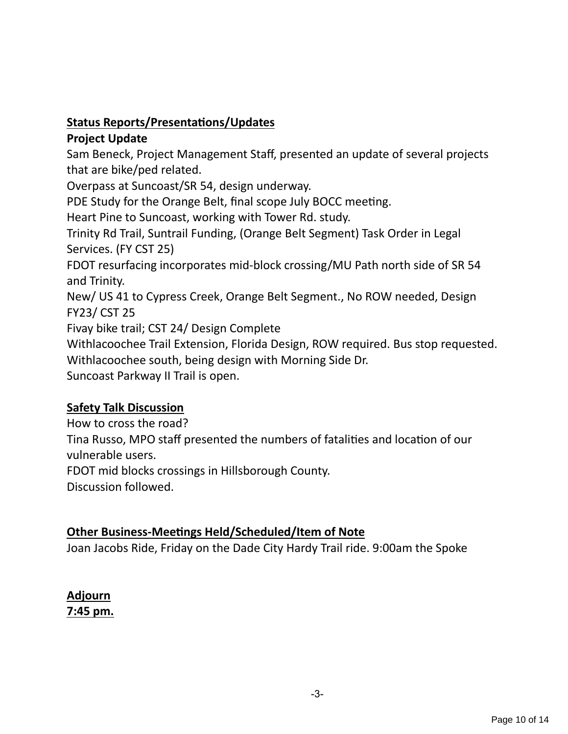# **Status Reports/Presentations/Updates**

## **Project Update**

Sam Beneck, Project Management Staff, presented an update of several projects that are bike/ped related.

Overpass at Suncoast/SR 54, design underway.

PDE Study for the Orange Belt, final scope July BOCC meeting.

Heart Pine to Suncoast, working with Tower Rd. study.

Trinity Rd Trail, Suntrail Funding, (Orange Belt Segment) Task Order in Legal Services. (FY CST 25)

FDOT resurfacing incorporates mid-block crossing/MU Path north side of SR 54 and Trinity.

New/ US 41 to Cypress Creek, Orange Belt Segment., No ROW needed, Design FY23/ CST 25

Fivay bike trail; CST 24/ Design Complete

Withlacoochee Trail Extension, Florida Design, ROW required. Bus stop requested. Withlacoochee south, being design with Morning Side Dr.

Suncoast Parkway II Trail is open.

# **Safety Talk Discussion**

How to cross the road?

Tina Russo, MPO staff presented the numbers of fatalities and location of our vulnerable users.

FDOT mid blocks crossings in Hillsborough County.

Discussion followed.

# **Other Business-Meetings Held/Scheduled/Item of Note**

Joan Jacobs Ride, Friday on the Dade City Hardy Trail ride. 9:00am the Spoke

# **Adjourn 7:45 pm.**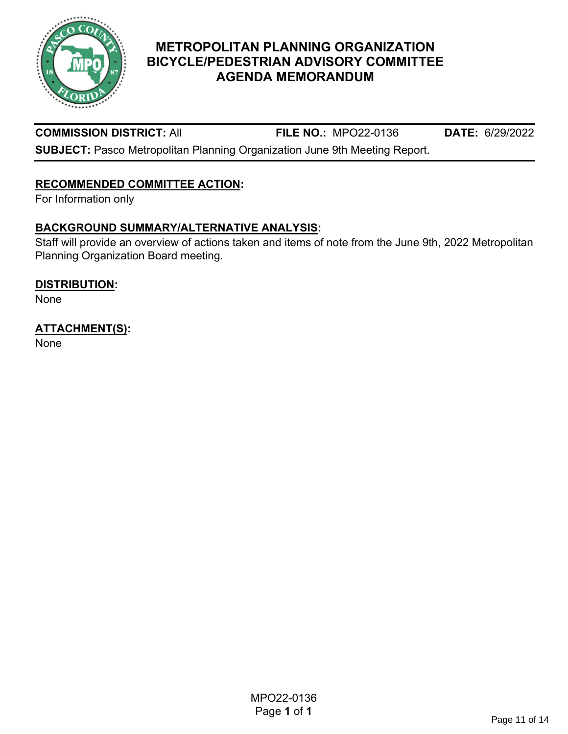

#### **COMMISSION DISTRICT:** All **FILE NO.:** MPO22-0136 **DATE:** 6/29/2022

**SUBJECT:** Pasco Metropolitan Planning Organization June 9th Meeting Report.

# **RECOMMENDED COMMITTEE ACTION:**

For Information only

#### **BACKGROUND SUMMARY/ALTERNATIVE ANALYSIS:**

Staff will provide an overview of actions taken and items of note from the June 9th, 2022 Metropolitan Planning Organization Board meeting.

#### **DISTRIBUTION:**

None

## **ATTACHMENT(S):**

None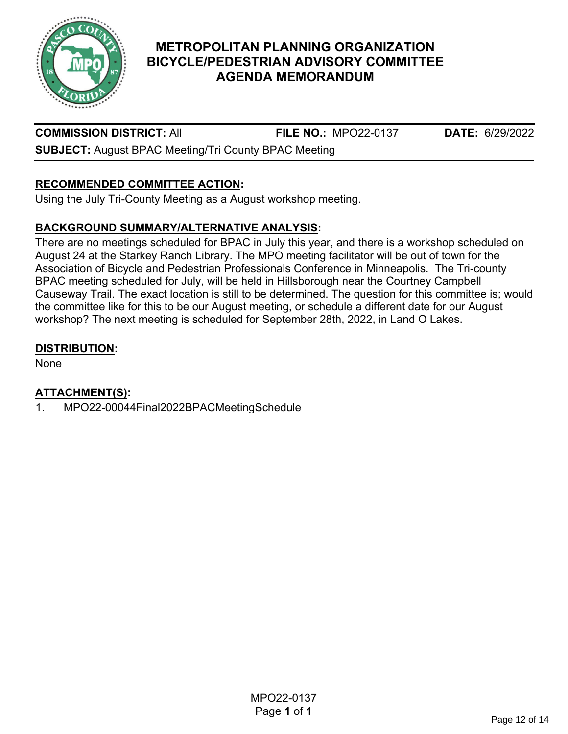

# **COMMISSION DISTRICT:** All **FILE NO.:** MPO22-0137 **DATE:** 6/29/2022

**SUBJECT:** August BPAC Meeting/Tri County BPAC Meeting

# **RECOMMENDED COMMITTEE ACTION:**

Using the July Tri-County Meeting as a August workshop meeting.

## **BACKGROUND SUMMARY/ALTERNATIVE ANALYSIS:**

There are no meetings scheduled for BPAC in July this year, and there is a workshop scheduled on August 24 at the Starkey Ranch Library. The MPO meeting facilitator will be out of town for the Association of Bicycle and Pedestrian Professionals Conference in Minneapolis. The Tri-county BPAC meeting scheduled for July, will be held in Hillsborough near the Courtney Campbell Causeway Trail. The exact location is still to be determined. The question for this committee is; would the committee like for this to be our August meeting, or schedule a different date for our August workshop? The next meeting is scheduled for September 28th, 2022, in Land O Lakes.

#### **DISTRIBUTION:**

None

# **ATTACHMENT(S):**

1. MPO22-00044Final2022BPACMeetingSchedule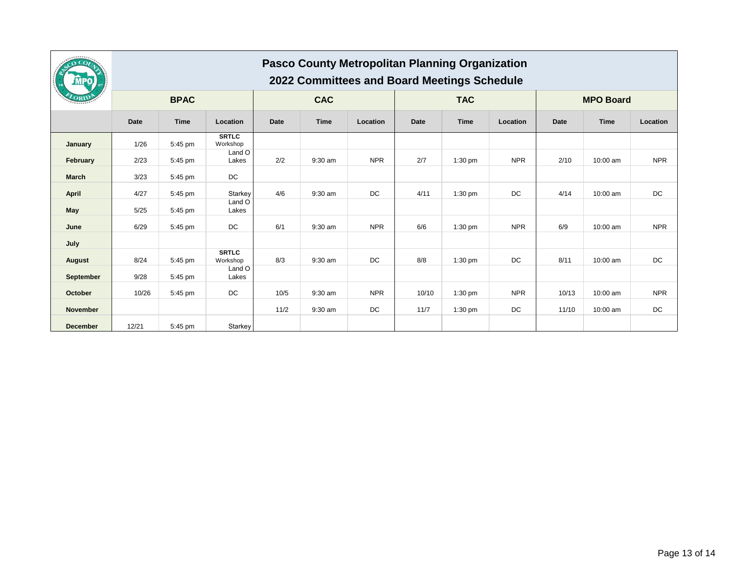|                 | <b>Pasco County Metropolitan Planning Organization</b><br>2022 Committees and Board Meetings Schedule |         |                          |             |             |            |             |                  |            |             |          |            |
|-----------------|-------------------------------------------------------------------------------------------------------|---------|--------------------------|-------------|-------------|------------|-------------|------------------|------------|-------------|----------|------------|
|                 | <b>BPAC</b>                                                                                           |         | <b>CAC</b>               |             | <b>TAC</b>  |            |             | <b>MPO Board</b> |            |             |          |            |
|                 | <b>Date</b>                                                                                           | Time    | Location                 | <b>Date</b> | <b>Time</b> | Location   | <b>Date</b> | Time             | Location   | <b>Date</b> | Time     | Location   |
| January         | 1/26                                                                                                  | 5:45 pm | <b>SRTLC</b><br>Workshop |             |             |            |             |                  |            |             |          |            |
| February        | 2/23                                                                                                  | 5:45 pm | Land O<br>Lakes          | 2/2         | 9:30 am     | <b>NPR</b> | 2/7         | $1:30$ pm        | <b>NPR</b> | 2/10        | 10:00 am | <b>NPR</b> |
| <b>March</b>    | 3/23                                                                                                  | 5:45 pm | DC                       |             |             |            |             |                  |            |             |          |            |
| <b>April</b>    | 4/27                                                                                                  | 5:45 pm | Starkey                  | 4/6         | 9:30 am     | DC         | 4/11        | $1:30$ pm        | DC         | 4/14        | 10:00 am | DC         |
| May             | 5/25                                                                                                  | 5:45 pm | Land O<br>Lakes          |             |             |            |             |                  |            |             |          |            |
| June            | 6/29                                                                                                  | 5:45 pm | DC                       | 6/1         | 9:30 am     | <b>NPR</b> | 6/6         | $1:30$ pm        | <b>NPR</b> | 6/9         | 10:00 am | <b>NPR</b> |
| July            |                                                                                                       |         |                          |             |             |            |             |                  |            |             |          |            |
| August          | 8/24                                                                                                  | 5:45 pm | <b>SRTLC</b><br>Workshop | 8/3         | 9:30 am     | DC         | 8/8         | $1:30$ pm        | DC         | 8/11        | 10:00 am | DC         |
| September       | 9/28                                                                                                  | 5:45 pm | Land O<br>Lakes          |             |             |            |             |                  |            |             |          |            |
| October         | 10/26                                                                                                 | 5:45 pm | DC                       | 10/5        | 9:30 am     | <b>NPR</b> | 10/10       | 1:30 pm          | <b>NPR</b> | 10/13       | 10:00 am | <b>NPR</b> |
| <b>November</b> |                                                                                                       |         |                          | 11/2        | 9:30 am     | DC         | 11/7        | $1:30$ pm        | DC         | 11/10       | 10:00 am | DC         |
| <b>December</b> | 12/21                                                                                                 | 5:45 pm | Starkey                  |             |             |            |             |                  |            |             |          |            |